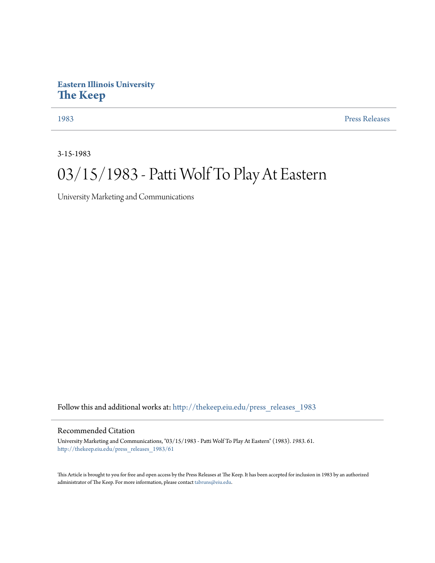## **Eastern Illinois University [The Keep](http://thekeep.eiu.edu?utm_source=thekeep.eiu.edu%2Fpress_releases_1983%2F61&utm_medium=PDF&utm_campaign=PDFCoverPages)**

[1983](http://thekeep.eiu.edu/press_releases_1983?utm_source=thekeep.eiu.edu%2Fpress_releases_1983%2F61&utm_medium=PDF&utm_campaign=PDFCoverPages) [Press Releases](http://thekeep.eiu.edu/press_releases_collection?utm_source=thekeep.eiu.edu%2Fpress_releases_1983%2F61&utm_medium=PDF&utm_campaign=PDFCoverPages)

3-15-1983

## 03/15/1983 - Patti Wolf To Play At Eastern

University Marketing and Communications

Follow this and additional works at: [http://thekeep.eiu.edu/press\\_releases\\_1983](http://thekeep.eiu.edu/press_releases_1983?utm_source=thekeep.eiu.edu%2Fpress_releases_1983%2F61&utm_medium=PDF&utm_campaign=PDFCoverPages)

## Recommended Citation

University Marketing and Communications, "03/15/1983 - Patti Wolf To Play At Eastern" (1983). *1983*. 61. [http://thekeep.eiu.edu/press\\_releases\\_1983/61](http://thekeep.eiu.edu/press_releases_1983/61?utm_source=thekeep.eiu.edu%2Fpress_releases_1983%2F61&utm_medium=PDF&utm_campaign=PDFCoverPages)

This Article is brought to you for free and open access by the Press Releases at The Keep. It has been accepted for inclusion in 1983 by an authorized administrator of The Keep. For more information, please contact [tabruns@eiu.edu.](mailto:tabruns@eiu.edu)